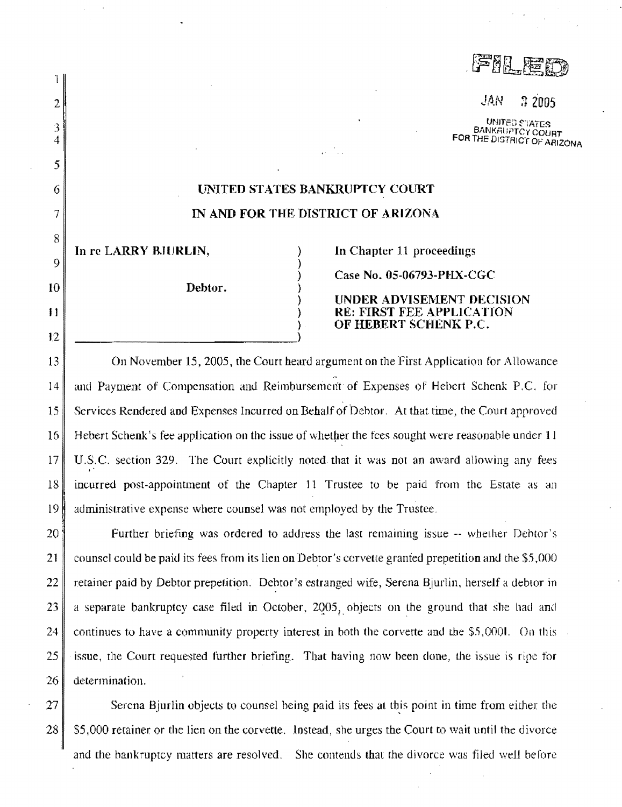FEMI

JAN  $22005$ 

UNITED **TATES BANKAUPTCY COURT** FOR THE DISTRICT OF ARIZONA

## **UNITED STATES BANKRUPTCY COURT** IN AND FOR THE DISTRICT OF ARIZONA

In re LARRY BJURLIN,

 $\mathbf{1}$ 

 $\overline{2}$ 

3

 $\overline{4}$ 

5

6

7

8

9

10

 $11$ 

 $12$ 

Debtor.

In Chapter 11 proceedings

Case No. 05-06793-PHX-CGC

UNDER ADVISEMENT DECISION **RE: FIRST FEE APPLICATION** OF HEBERT SCHENK P.C.

On November 15, 2005, the Court heard argument on the First Application for Allowance 13 and Payment of Compensation and Reimbursement of Expenses of Hebert Schenk P.C. for 14 15 Services Rendered and Expenses Incurred on Behalf of Debtor. At that time, the Court approved 16 Hebert Schenk's fee application on the issue of whether the fees sought were reasonable under 11 17 U.S.C. section 329. The Court explicitly noted that it was not an award allowing any fees 18 incurred post-appointment of the Chapter 11 Trustee to be paid from the Estate as an 19 administrative expense where counsel was not employed by the Trustee.

20 Further briefing was ordered to address the last remaining issue -- whether Debtor's 21 counsel could be paid its fees from its lien on Debtor's corvette granted prepetition and the \$5,000 22 retainer paid by Debtor prepetition. Debtor's estranged wife, Serena Bjurlin, herself a debtor in 23 a separate bankruptcy case filed in October, 2005, objects on the ground that she had and 24 continues to have a community property interest in both the corvette and the \$5,000l. On this 25 issue, the Court requested further briefing. That having now been done, the issue is ripe for 26 determination.

 $27$ Serena Bjurlin objects to counsel being paid its fees at this point in time from either the 28 \$5,000 retainer or the lien on the corvette. Instead, she urges the Court to wait until the divorce and the bankruptcy matters are resolved. She contends that the divorce was filed well before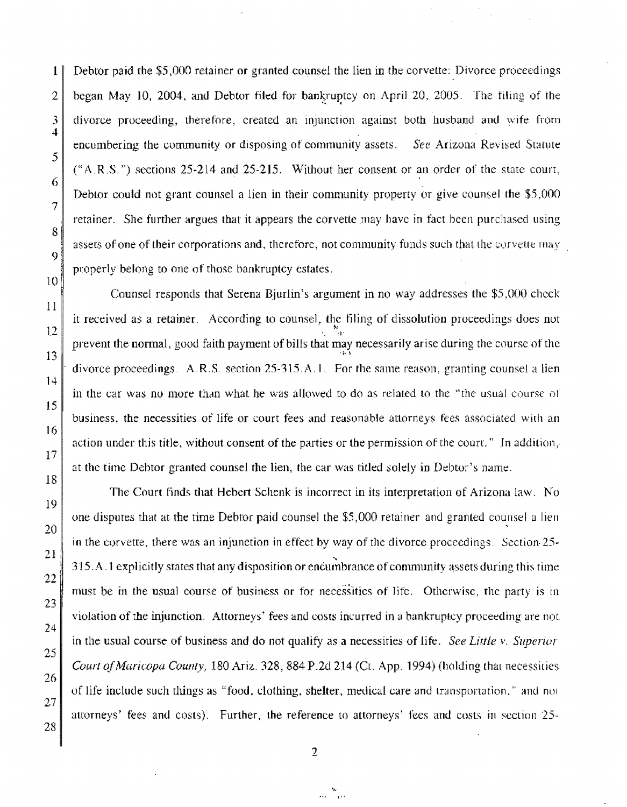1. Debtor paid the \$5,000 retainer or granted counsel the lien in the corvette: Divorce proceedings 2 began May 10, 2004, and Debtor filed for bankruptcy on April 20, 2005. The filing of the  $3$  divorce proceeding, therefore, created an injunction against both husband and wife from encumbering the community or disposing of community assets. *See Arizona Revised Statute*  $("A.R.S."")$  sections 25-214 and 25-215. Without her consent or an order of the state court, Debtor could not grant counsel a lien in their community property or give counsel the \$5,000 retainer. She further argues that it appears the corvette may have in fact hccn purchased using assers of one of their corporations and, therefore, not community funds such that the corvette  $\max$ properly belong to one of those bankruptcy estates.

Counsel responds that Serena Bjurlin's argument in no way addresses the  $$5,000$  check it received as a retainer. According to counsel, the filing of dissolution proceedings does not  $\frac{1}{2}$ prevent the normal, good faith payment of bills that may necessarily arise during the course of the divorce proceedings. A.R.S. section 25-315.A.I. For the same reason, granting counsel a lien in the car was no more than what he was allowed to do as related to the "the usual course of business, the necessities of life or court fees and reasonable attorneys fees associated with an action under this title, without consent of the parties or the permission of the count." In addition, at the time Debtor granted counsel the lien, the car was titled solely in Debtor's name.

The Court finds that Hebert Schenk is incorrect in its interpretation of Arizona law. No one disputes that at the time Debtor paid counsel the \$5,000 retainer and granted counsel a lien in the corvette, there was an injunction in effect by way of the divorce proceedings. Section- $25~$ -., 315.A .1 explicitly states that any disposition or encumbrance of community assets during this time must be in the usual course of business or for necessities of life. Otherwise, the party is in violation of the injunction. Attorneys' fees and costs incurred in a bankruptcy proceeding are not in the usual course of business and do not qualify as a necessities of life. *See Little v. Superior Court of Maricopa County,* 180 Ariz. 328, 884 P.2d 214 {0. App. 1994) (holding that necessities of life include such things as "food. clothing, shelter, medical care and transportation," and no1 attorneys' fees and costs). Further, the reference to attorneys' fees and costs in section 25-

2

.,,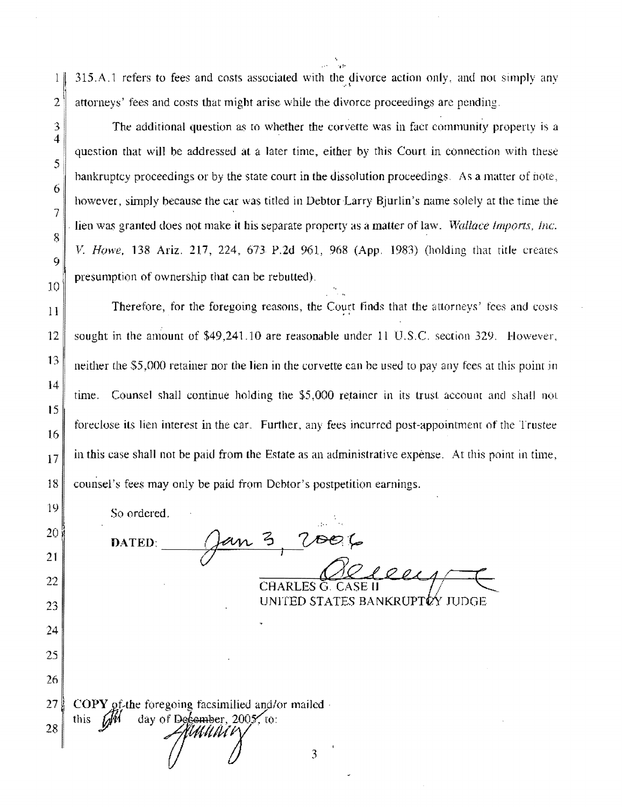315.A.1 refers to fees and costs associated with the divorce action only, and not simply any  $\frac{1}{2}$  $\overline{2}$ attorneys' fees and costs that might arise while the divorce proceedings are pending.

The additional question as to whether the corvette was in fact community property is a question that will be addressed at a later time, either by this Court in connection with these bankruptcy proceedings or by the state court in the dissolution proceedings. As a matter of note, however, simply because the car was titled in Debtor Larry Bjurlin's name solely at the time the lien was granted does not make it his separate property as a matter of law. Wallace Imports, Inc. V. Howe, 138 Ariz. 217, 224, 673 P.2d 961, 968 (App. 1983) (holding that title creates presumption of ownership that can be rebutted).

Therefore, for the foregoing reasons, the Court finds that the attorneys' fees and costs sought in the amount of \$49,241.10 are reasonable under 11 U.S.C. section 329. However, neither the \$5,000 retainer nor the lien in the corvette can be used to pay any fees at this point in time. Counsel shall continue holding the \$5,000 retainer in its trust account and shall not foreclose its lien interest in the car. Further, any fees incurred post-appointment of the Trustee in this case shall not be paid from the Estate as an administrative expense. At this point in time, counsel's fees may only be paid from Debtor's postpetition earnings.

So ordered. an 3, 2006 DATED:  $10011$ CHARLES G. CASE II UNITED STATES BANKRUPTOY JUDGE

 $27$ COPY of the foregoing facsimilied and/or mailed day of December, 2005, to: this 6 28 MUNI

3  $\overline{4}$ 

5

6

7

8

9

10

 $11$ 

12

13

14

15

16

 $17$ 

18

19

20

21

22

23

24

25

26

 $\overline{3}$